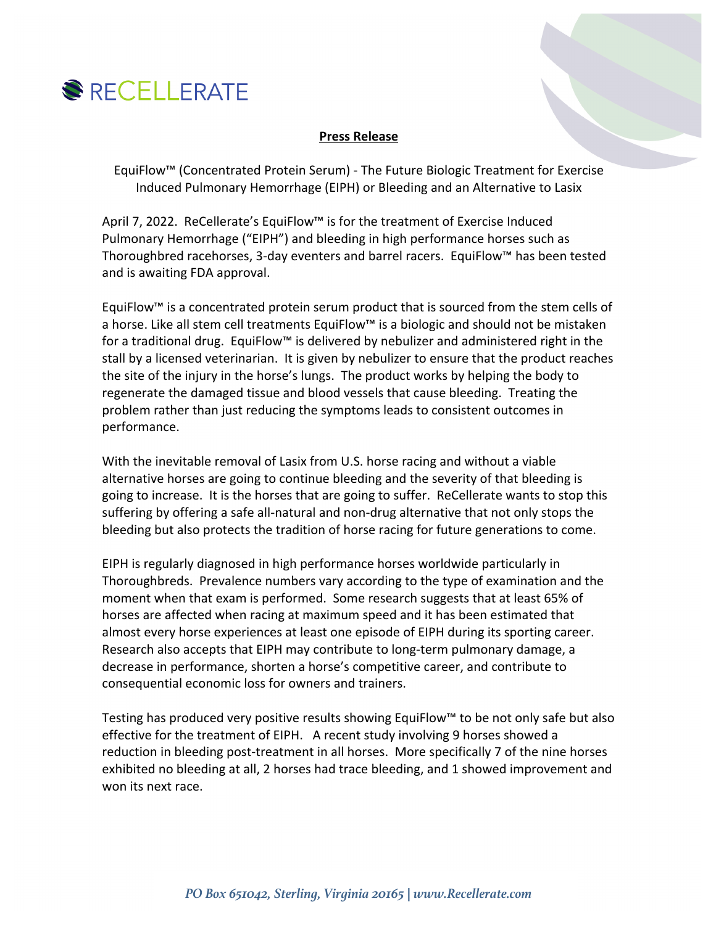

## **Press Release**

EquiFlow™ (Concentrated Protein Serum) - The Future Biologic Treatment for Exercise Induced Pulmonary Hemorrhage (EIPH) or Bleeding and an Alternative to Lasix

April 7, 2022. ReCellerate's EquiFlow™ is for the treatment of Exercise Induced Pulmonary Hemorrhage ("EIPH") and bleeding in high performance horses such as Thoroughbred racehorses, 3-day eventers and barrel racers. EquiFlow™ has been tested and is awaiting FDA approval.

EquiFlow™ is a concentrated protein serum product that is sourced from the stem cells of a horse. Like all stem cell treatments EquiFlow™ is a biologic and should not be mistaken for a traditional drug. EquiFlow™ is delivered by nebulizer and administered right in the stall by a licensed veterinarian. It is given by nebulizer to ensure that the product reaches the site of the injury in the horse's lungs. The product works by helping the body to regenerate the damaged tissue and blood vessels that cause bleeding. Treating the problem rather than just reducing the symptoms leads to consistent outcomes in performance.

With the inevitable removal of Lasix from U.S. horse racing and without a viable alternative horses are going to continue bleeding and the severity of that bleeding is going to increase. It is the horses that are going to suffer. ReCellerate wants to stop this suffering by offering a safe all-natural and non-drug alternative that not only stops the bleeding but also protects the tradition of horse racing for future generations to come.

EIPH is regularly diagnosed in high performance horses worldwide particularly in Thoroughbreds. Prevalence numbers vary according to the type of examination and the moment when that exam is performed. Some research suggests that at least 65% of horses are affected when racing at maximum speed and it has been estimated that almost every horse experiences at least one episode of EIPH during its sporting career. Research also accepts that EIPH may contribute to long-term pulmonary damage, a decrease in performance, shorten a horse's competitive career, and contribute to consequential economic loss for owners and trainers.

Testing has produced very positive results showing EquiFlow™ to be not only safe but also effective for the treatment of EIPH. A recent study involving 9 horses showed a reduction in bleeding post-treatment in all horses. More specifically 7 of the nine horses exhibited no bleeding at all, 2 horses had trace bleeding, and 1 showed improvement and won its next race.